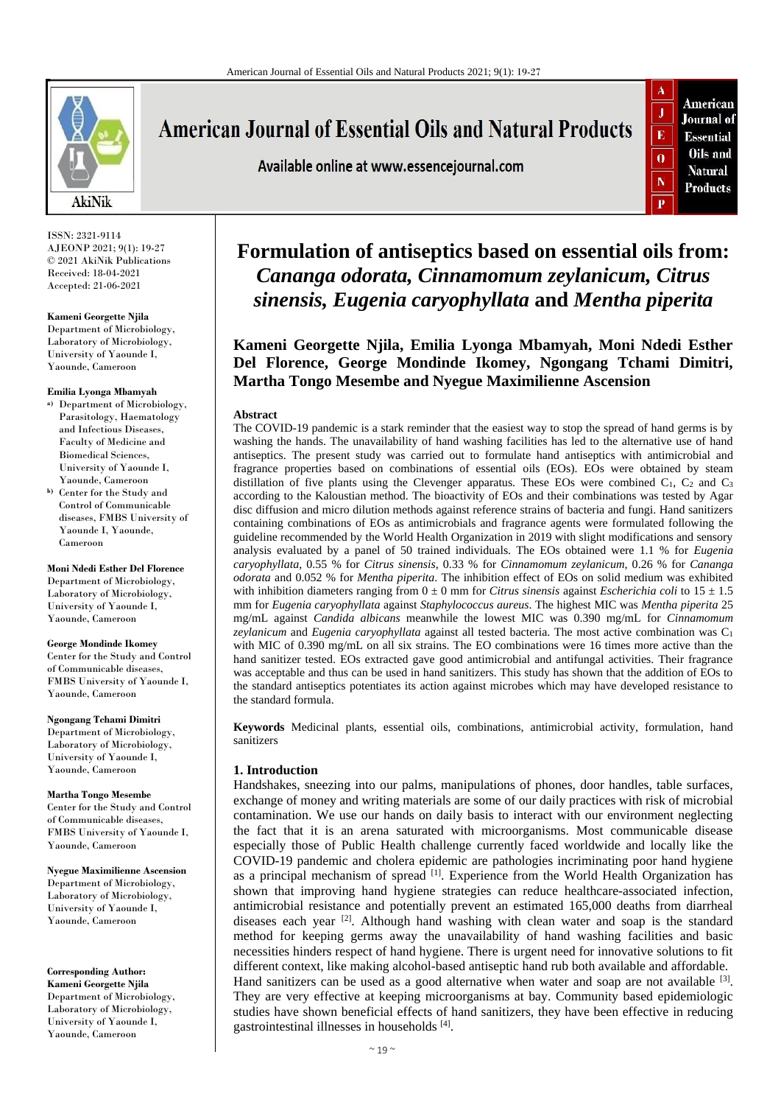

ISSN: 2321-9114 AJEONP 2021; 9(1): 19-27 © 2021 AkiNik Publications Received: 18-04-2021 Accepted: 21-06-2021

#### **Kameni Georgette Njila**

Department of Microbiology, Laboratory of Microbiology, University of Yaounde I, Yaounde, Cameroon

#### **Emilia Lyonga Mbamyah**

- **a)** Department of Microbiology, Parasitology, Haematology and Infectious Diseases, Faculty of Medicine and Biomedical Sciences, University of Yaounde I, Yaounde, Cameroon
- **b)** Center for the Study and Control of Communicable diseases, FMBS University of Yaounde I, Yaounde, Cameroon

**Moni Ndedi Esther Del Florence** Department of Microbiology, Laboratory of Microbiology, University of Yaounde I, Yaounde, Cameroon

#### **George Mondinde Ikomey**

Center for the Study and Control of Communicable diseases, FMBS University of Yaounde I, Yaounde, Cameroon

**Ngongang Tchami Dimitri** Department of Microbiology, Laboratory of Microbiology, University of Yaounde I, Yaounde, Cameroon

**Martha Tongo Mesembe**  Center for the Study and Control of Communicable diseases, FMBS University of Yaounde I, Yaounde, Cameroon

**Nyegue Maximilienne Ascension** Department of Microbiology, Laboratory of Microbiology, University of Yaounde I, Yaounde, Cameroon

**Corresponding Author:** 

**Kameni Georgette Njila** Department of Microbiology, Laboratory of Microbiology, University of Yaounde I, Yaounde, Cameroon

# **American Journal of Essential Oils and Natural Products**

Available online at www.essencejournal.com



## **Formulation of antiseptics based on essential oils from:**  *Cananga odorata, Cinnamomum zeylanicum, Citrus sinensis, Eugenia caryophyllata* **and** *Mentha piperita*

**Kameni Georgette Njila, Emilia Lyonga Mbamyah, Moni Ndedi Esther Del Florence, George Mondinde Ikomey, Ngongang Tchami Dimitri, Martha Tongo Mesembe and Nyegue Maximilienne Ascension**

#### **Abstract**

The COVID-19 pandemic is a stark reminder that the easiest way to stop the spread of hand germs is by washing the hands. The unavailability of hand washing facilities has led to the alternative use of hand antiseptics. The present study was carried out to formulate hand antiseptics with antimicrobial and fragrance properties based on combinations of essential oils (EOs). EOs were obtained by steam distillation of five plants using the Clevenger apparatus. These EOs were combined  $C_1$ ,  $C_2$  and  $C_3$ according to the Kaloustian method. The bioactivity of EOs and their combinations was tested by Agar disc diffusion and micro dilution methods against reference strains of bacteria and fungi. Hand sanitizers containing combinations of EOs as antimicrobials and fragrance agents were formulated following the guideline recommended by the World Health Organization in 2019 with slight modifications and sensory analysis evaluated by a panel of 50 trained individuals. The EOs obtained were 1.1 % for *Eugenia caryophyllata*, 0.55 % for *Citrus sinensis*, 0.33 % for *Cinnamomum zeylanicum*, 0.26 % for *Cananga odorata* and 0.052 % for *Mentha piperita*. The inhibition effect of EOs on solid medium was exhibited with inhibition diameters ranging from  $0 \pm 0$  mm for *Citrus sinensis* against *Escherichia coli* to  $15 \pm 1.5$ mm for *Eugenia caryophyllata* against *Staphylococcus aureus*. The highest MIC was *Mentha piperita* 25 mg/mL against *Candida albicans* meanwhile the lowest MIC was 0.390 mg/mL for *Cinnamomum zeylanicum* and *Eugenia caryophyllata* against all tested bacteria. The most active combination was C<sup>1</sup> with MIC of 0.390 mg/mL on all six strains. The EO combinations were 16 times more active than the hand sanitizer tested. EOs extracted gave good antimicrobial and antifungal activities. Their fragrance was acceptable and thus can be used in hand sanitizers. This study has shown that the addition of EOs to the standard antiseptics potentiates its action against microbes which may have developed resistance to the standard formula.

**Keywords** Medicinal plants, essential oils, combinations, antimicrobial activity, formulation, hand sanitizers

#### **1. Introduction**

Handshakes, sneezing into our palms, manipulations of phones, door handles, table surfaces, exchange of money and writing materials are some of our daily practices with risk of microbial contamination. We use our hands on daily basis to interact with our environment neglecting the fact that it is an arena saturated with microorganisms. Most communicable disease especially those of Public Health challenge currently faced worldwide and locally like the COVID-19 pandemic and cholera epidemic are pathologies incriminating poor hand hygiene as a principal mechanism of spread [1]. Experience from the World Health Organization has shown that improving hand hygiene strategies can reduce healthcare-associated infection, antimicrobial resistance and potentially prevent an estimated 165,000 deaths from diarrheal diseases each year <sup>[2]</sup>. Although hand washing with clean water and soap is the standard method for keeping germs away the unavailability of hand washing facilities and basic necessities hinders respect of hand hygiene. There is urgent need for innovative solutions to fit different context, like making alcohol-based antiseptic hand rub both available and affordable. Hand sanitizers can be used as a good alternative when water and soap are not available <sup>[3]</sup>. They are very effective at keeping microorganisms at bay. Community based epidemiologic studies have shown beneficial effects of hand sanitizers, they have been effective in reducing gastrointestinal illnesses in households [4] .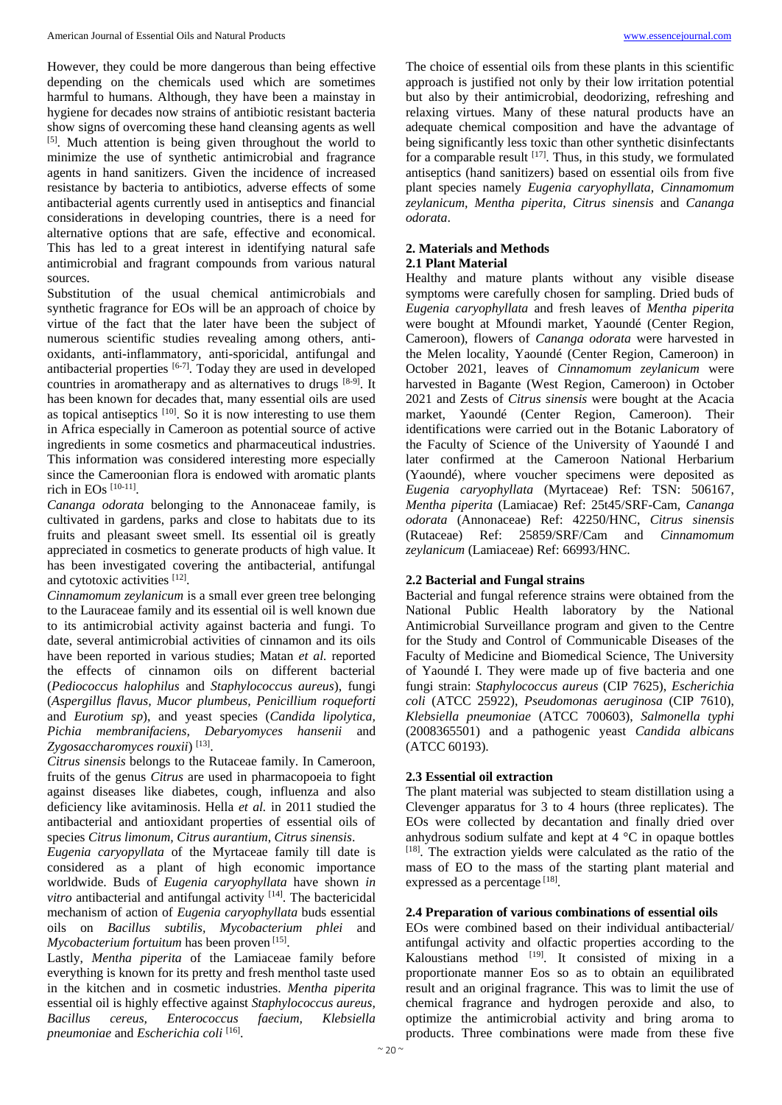However, they could be more dangerous than being effective depending on the chemicals used which are sometimes harmful to humans. Although, they have been a mainstay in hygiene for decades now strains of antibiotic resistant bacteria show signs of overcoming these hand cleansing agents as well [5]. Much attention is being given throughout the world to minimize the use of synthetic antimicrobial and fragrance agents in hand sanitizers. Given the incidence of increased resistance by bacteria to antibiotics, adverse effects of some antibacterial agents currently used in antiseptics and financial considerations in developing countries, there is a need for alternative options that are safe, effective and economical. This has led to a great interest in identifying natural safe antimicrobial and fragrant compounds from various natural sources.

Substitution of the usual chemical antimicrobials and synthetic fragrance for EOs will be an approach of choice by virtue of the fact that the later have been the subject of numerous scientific studies revealing among others, antioxidants, anti-inflammatory, anti-sporicidal, antifungal and antibacterial properties [6-7] *.* Today they are used in developed countries in aromatherapy and as alternatives to drugs [8-9] . It has been known for decades that, many essential oils are used as topical antiseptics  $[10]$ . So it is now interesting to use them in Africa especially in Cameroon as potential source of active ingredients in some cosmetics and pharmaceutical industries. This information was considered interesting more especially since the Cameroonian flora is endowed with aromatic plants rich in EOs  $^{[10-11]}$ .

*Cananga odorata* belonging to the Annonaceae family, is cultivated in gardens, parks and close to habitats due to its fruits and pleasant sweet smell. Its essential oil is greatly appreciated in cosmetics to generate products of high value. It has been investigated covering the antibacterial, antifungal and cytotoxic activities [12] .

*Cinnamomum zeylanicum* is a small ever green tree belonging to the Lauraceae family and its essential oil is well known due to its antimicrobial activity against bacteria and fungi. To date, several antimicrobial activities of cinnamon and its oils have been reported in various studies; Matan *et al.* reported the effects of cinnamon oils on different bacterial (*Pediococcus halophilus* and *Staphylococcus aureus*), fungi (*Aspergillus flavus, Mucor plumbeus, Penicillium roqueforti* and *Eurotium sp*), and yeast species (*Candida lipolytica, Pichia membranifaciens, Debaryomyces hansenii* and Zygosaccharomyces rouxii)<sup>[13]</sup>.

*Citrus sinensis* belongs to the Rutaceae family. In Cameroon, fruits of the genus *Citrus* are used in pharmacopoeia to fight against diseases like diabetes, cough, influenza and also deficiency like avitaminosis. Hella *et al.* in 2011 studied the antibacterial and antioxidant properties of essential oils of species *Citrus limonum, Citrus aurantium*, *Citrus sinensis*.

*Eugenia caryopyllata* of the Myrtaceae family till date is considered as a plant of high economic importance worldwide. Buds of *Eugenia caryophyllata* have shown *in vitro* antibacterial and antifungal activity <sup>[14]</sup>. The bactericidal mechanism of action of *Eugenia caryophyllata* buds essential oils on *Bacillus subtilis, Mycobacterium phlei* and Mycobacterium fortuitum has been proven<sup>[15]</sup>.

Lastly, *Mentha piperita* of the Lamiaceae family before everything is known for its pretty and fresh menthol taste used in the kitchen and in cosmetic industries. *Mentha piperita* essential oil is highly effective against *Staphylococcus aureus, Bacillus cereus, Enterococcus faecium, Klebsiella pneumoniae* and *Escherichia coli* [16] .

The choice of essential oils from these plants in this scientific approach is justified not only by their low irritation potential but also by their antimicrobial, deodorizing, refreshing and relaxing virtues. Many of these natural products have an adequate chemical composition and have the advantage of being significantly less toxic than other synthetic disinfectants for a comparable result  $[17]$ . Thus, in this study, we formulated antiseptics (hand sanitizers) based on essential oils from five plant species namely *Eugenia caryophyllata, Cinnamomum zeylanicum, Mentha piperita, Citrus sinensis* and *Cananga odorata*.

## **2. Materials and Methods**

## **2.1 Plant Material**

Healthy and mature plants without any visible disease symptoms were carefully chosen for sampling. Dried buds of *Eugenia caryophyllata* and fresh leaves of *Mentha piperita* were bought at Mfoundi market, Yaoundé (Center Region, Cameroon), flowers of *Cananga odorata* were harvested in the Melen locality, Yaoundé (Center Region, Cameroon) in October 2021, leaves of *Cinnamomum zeylanicum* were harvested in Bagante (West Region, Cameroon) in October 2021 and Zests of *Citrus sinensis* were bought at the Acacia market, Yaoundé (Center Region, Cameroon). Their identifications were carried out in the Botanic Laboratory of the Faculty of Science of the University of Yaoundé I and later confirmed at the Cameroon National Herbarium (Yaoundé), where voucher specimens were deposited as *Eugenia caryophyllata* (Myrtaceae) Ref: TSN: 506167, *Mentha piperita* (Lamiacae) Ref: 25t45/SRF-Cam, *Cananga odorata* (Annonaceae) Ref: 42250/HNC, *Citrus sinensis* (Rutaceae) Ref: 25859/SRF/Cam and *Cinnamomum zeylanicum* (Lamiaceae) Ref: 66993/HNC.

#### **2.2 Bacterial and Fungal strains**

Bacterial and fungal reference strains were obtained from the National Public Health laboratory by the National Antimicrobial Surveillance program and given to the Centre for the Study and Control of Communicable Diseases of the Faculty of Medicine and Biomedical Science, The University of Yaoundé I. They were made up of five bacteria and one fungi strain: *Staphylococcus aureus* (CIP 7625), *Escherichia coli* (ATCC 25922), *Pseudomonas aeruginosa* (CIP 7610), *Klebsiella pneumoniae* (ATCC 700603), *Salmonella typhi*  (2008365501) and a pathogenic yeast *Candida albicans* (ATCC 60193).

#### **2.3 Essential oil extraction**

The plant material was subjected to steam distillation using a Clevenger apparatus for 3 to 4 hours (three replicates). The EOs were collected by decantation and finally dried over anhydrous sodium sulfate and kept at 4 °C in opaque bottles [18]. The extraction yields were calculated as the ratio of the mass of EO to the mass of the starting plant material and expressed as a percentage [18].

#### **2.4 Preparation of various combinations of essential oils**

EOs were combined based on their individual antibacterial/ antifungal activity and olfactic properties according to the Kaloustians method  $[19]$ . It consisted of mixing in a proportionate manner Eos so as to obtain an equilibrated result and an original fragrance. This was to limit the use of chemical fragrance and hydrogen peroxide and also, to optimize the antimicrobial activity and bring aroma to products. Three combinations were made from these five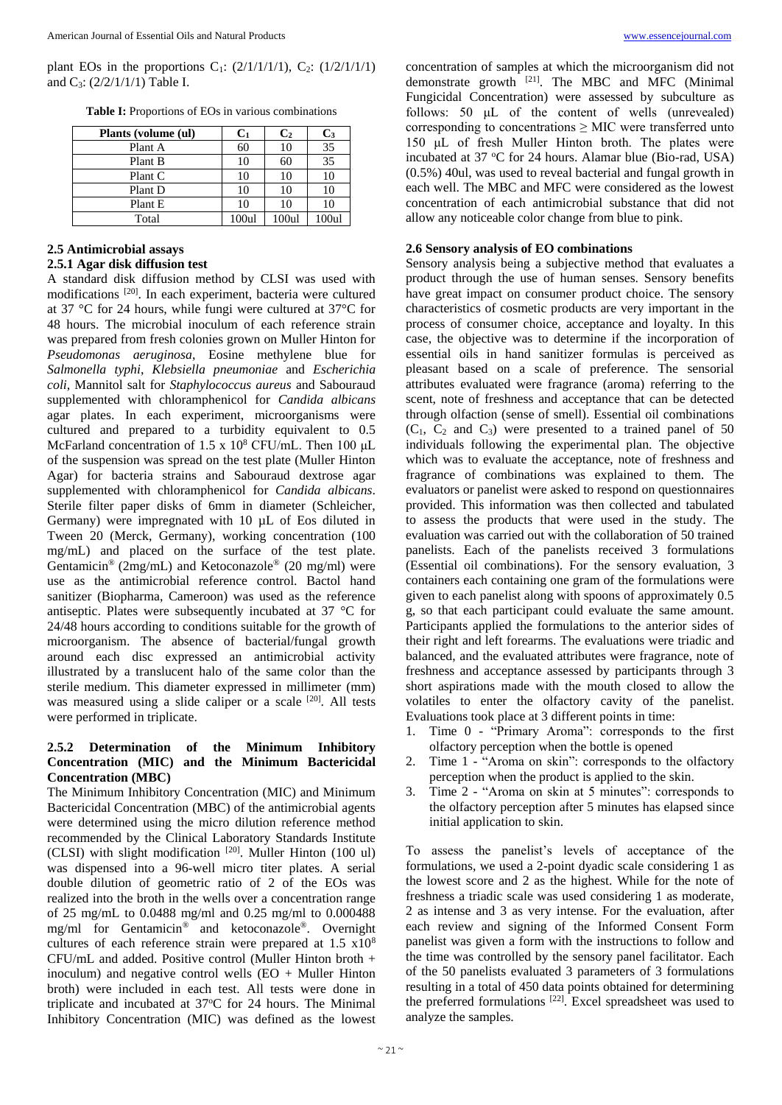plant EOs in the proportions C<sub>1</sub>:  $(2/1/1/1/1)$ , C<sub>2</sub>:  $(1/2/1/1/1)$ and C3: (2/2/1/1/1) Table I.

**Table I:** Proportions of EOs in various combinations

| Plants (volume (ul) | $C_1$    | C <sub>2</sub> | C <sub>3</sub> |
|---------------------|----------|----------------|----------------|
| Plant A             | 60       | 10             | 35             |
| Plant B             | 10       | 60             | 35             |
| Plant C             | 10       | 10             | 10             |
| Plant D             | 10       | 10             | 10             |
| Plant E             | 10       | 10             | 10             |
| Total               | $100$ ul | 100ul          | 100ul          |

#### **2.6 Sensory analysis of EO combinations**

allow any noticeable color change from blue to pink.

Sensory analysis being a subjective method that evaluates a product through the use of human senses. Sensory benefits have great impact on consumer product choice. The sensory characteristics of cosmetic products are very important in the process of consumer choice, acceptance and loyalty. In this case, the objective was to determine if the incorporation of essential oils in hand sanitizer formulas is perceived as pleasant based on a scale of preference. The sensorial attributes evaluated were fragrance (aroma) referring to the scent, note of freshness and acceptance that can be detected through olfaction (sense of smell). Essential oil combinations  $(C_1, C_2 \text{ and } C_3)$  were presented to a trained panel of 50 individuals following the experimental plan. The objective which was to evaluate the acceptance, note of freshness and fragrance of combinations was explained to them. The evaluators or panelist were asked to respond on questionnaires provided. This information was then collected and tabulated to assess the products that were used in the study. The evaluation was carried out with the collaboration of 50 trained panelists. Each of the panelists received 3 formulations (Essential oil combinations). For the sensory evaluation, 3 containers each containing one gram of the formulations were given to each panelist along with spoons of approximately 0.5 g, so that each participant could evaluate the same amount. Participants applied the formulations to the anterior sides of their right and left forearms. The evaluations were triadic and balanced, and the evaluated attributes were fragrance, note of freshness and acceptance assessed by participants through 3 short aspirations made with the mouth closed to allow the volatiles to enter the olfactory cavity of the panelist. Evaluations took place at 3 different points in time:

- 1. Time 0 "Primary Aroma": corresponds to the first olfactory perception when the bottle is opened
- 2. Time 1 "Aroma on skin": corresponds to the olfactory perception when the product is applied to the skin.
- 3. Time 2 "Aroma on skin at 5 minutes": corresponds to the olfactory perception after 5 minutes has elapsed since initial application to skin.

To assess the panelist's levels of acceptance of the formulations, we used a 2-point dyadic scale considering 1 as the lowest score and 2 as the highest. While for the note of freshness a triadic scale was used considering 1 as moderate, 2 as intense and 3 as very intense. For the evaluation, after each review and signing of the Informed Consent Form panelist was given a form with the instructions to follow and the time was controlled by the sensory panel facilitator. Each of the 50 panelists evaluated 3 parameters of 3 formulations resulting in a total of 450 data points obtained for determining the preferred formulations [22]. Excel spreadsheet was used to analyze the samples.

## **2.5 Antimicrobial assays**

## **2.5.1 Agar disk diffusion test**

A standard disk diffusion method by CLSI was used with modifications [20]. In each experiment, bacteria were cultured at 37 °C for 24 hours, while fungi were cultured at 37°C for 48 hours. The microbial inoculum of each reference strain was prepared from fresh colonies grown on Muller Hinton for *Pseudomonas aeruginosa*, Eosine methylene blue for *Salmonella typhi*, *Klebsiella pneumoniae* and *Escherichia coli*, Mannitol salt for *Staphylococcus aureus* and Sabouraud supplemented with chloramphenicol for *Candida albicans* agar plates. In each experiment, microorganisms were cultured and prepared to a turbidity equivalent to 0.5 McFarland concentration of 1.5 x 10<sup>8</sup> CFU/mL. Then 100 μL of the suspension was spread on the test plate (Muller Hinton Agar) for bacteria strains and Sabouraud dextrose agar supplemented with chloramphenicol for *Candida albicans*. Sterile filter paper disks of 6mm in diameter (Schleicher, Germany) were impregnated with 10 µL of Eos diluted in Tween 20 (Merck, Germany), working concentration (100 mg/mL) and placed on the surface of the test plate. Gentamicin® (2mg/mL) and Ketoconazole® (20 mg/ml) were use as the antimicrobial reference control. Bactol hand sanitizer (Biopharma, Cameroon) was used as the reference antiseptic. Plates were subsequently incubated at 37 °C for 24/48 hours according to conditions suitable for the growth of microorganism. The absence of bacterial/fungal growth around each disc expressed an antimicrobial activity illustrated by a translucent halo of the same color than the sterile medium. This diameter expressed in millimeter (mm) was measured using a slide caliper or a scale [20]. All tests were performed in triplicate.

## **2.5.2 Determination of the Minimum Inhibitory Concentration (MIC) and the Minimum Bactericidal Concentration (MBC)**

The Minimum Inhibitory Concentration (MIC) and Minimum Bactericidal Concentration (MBC) of the antimicrobial agents were determined using the micro dilution reference method recommended by the Clinical Laboratory Standards Institute (CLSI) with slight modification [20]. Muller Hinton (100 ul) was dispensed into a 96-well micro titer plates. A serial double dilution of geometric ratio of 2 of the EOs was realized into the broth in the wells over a concentration range of 25 mg/mL to 0.0488 mg/ml and 0.25 mg/ml to 0.000488 mg/ml for Gentamicin® and ketoconazole®. Overnight cultures of each reference strain were prepared at  $1.5 \times 10^8$ CFU/mL and added. Positive control (Muller Hinton broth + inoculum) and negative control wells (EO + Muller Hinton broth) were included in each test. All tests were done in triplicate and incubated at 37°C for 24 hours. The Minimal Inhibitory Concentration (MIC) was defined as the lowest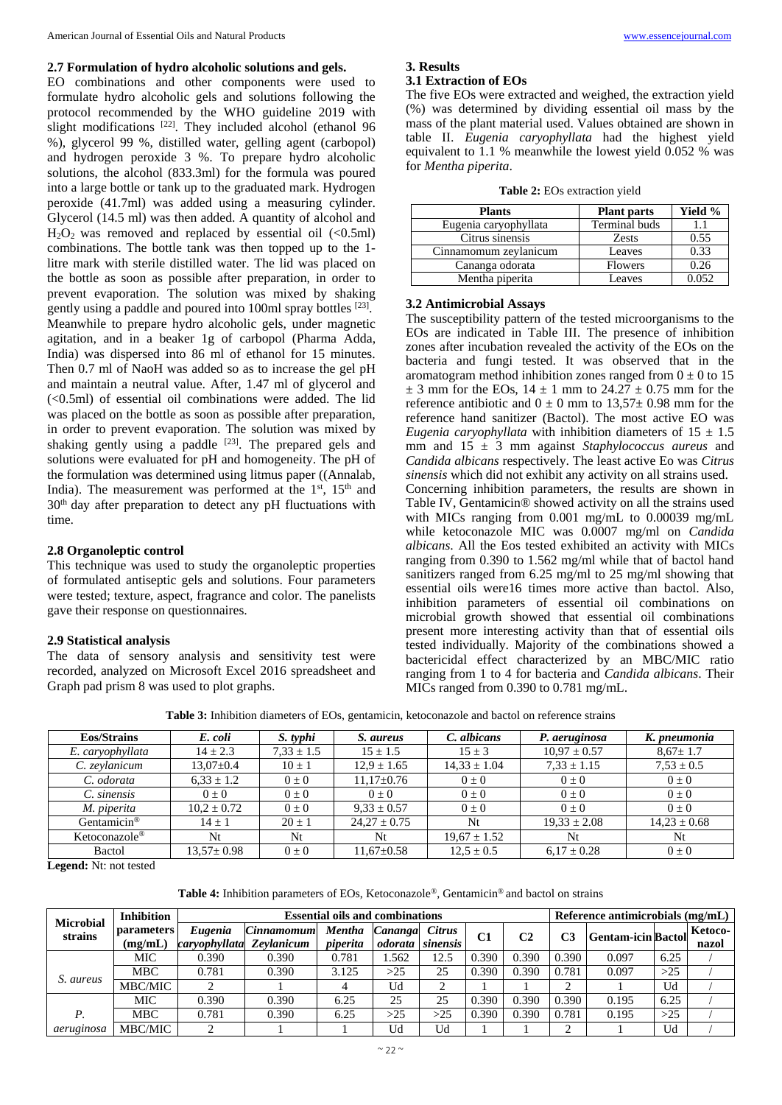## **2.7 Formulation of hydro alcoholic solutions and gels.**

EO combinations and other components were used to formulate hydro alcoholic gels and solutions following the protocol recommended by the WHO guideline 2019 with slight modifications  $[22]$ . They included alcohol (ethanol 96 %), glycerol 99 %, distilled water, gelling agent (carbopol) and hydrogen peroxide 3 %. To prepare hydro alcoholic solutions, the alcohol (833.3ml) for the formula was poured into a large bottle or tank up to the graduated mark. Hydrogen peroxide (41.7ml) was added using a measuring cylinder. Glycerol (14.5 ml) was then added. A quantity of alcohol and  $H<sub>2</sub>O<sub>2</sub>$  was removed and replaced by essential oil (<0.5ml) combinations. The bottle tank was then topped up to the 1 litre mark with sterile distilled water. The lid was placed on the bottle as soon as possible after preparation, in order to prevent evaporation. The solution was mixed by shaking gently using a paddle and poured into 100ml spray bottles [23]. Meanwhile to prepare hydro alcoholic gels, under magnetic agitation, and in a beaker 1g of carbopol (Pharma Adda, India) was dispersed into 86 ml of ethanol for 15 minutes. Then 0.7 ml of NaoH was added so as to increase the gel pH and maintain a neutral value. After, 1.47 ml of glycerol and (<0.5ml) of essential oil combinations were added. The lid was placed on the bottle as soon as possible after preparation, in order to prevent evaporation. The solution was mixed by shaking gently using a paddle  $[23]$ . The prepared gels and solutions were evaluated for pH and homogeneity. The pH of the formulation was determined using litmus paper ((Annalab, India). The measurement was performed at the  $1<sup>st</sup>$ ,  $15<sup>th</sup>$  and 30<sup>th</sup> day after preparation to detect any pH fluctuations with time.

#### **2.8 Organoleptic control**

This technique was used to study the organoleptic properties of formulated antiseptic gels and solutions. Four parameters were tested; texture, aspect, fragrance and color. The panelists gave their response on questionnaires.

#### **2.9 Statistical analysis**

The data of sensory analysis and sensitivity test were recorded, analyzed on Microsoft Excel 2016 spreadsheet and Graph pad prism 8 was used to plot graphs.

## **3. Results 3.1 Extraction of EOs**

The five EOs were extracted and weighed, the extraction yield (%) was determined by dividing essential oil mass by the mass of the plant material used. Values obtained are shown in table II. *Eugenia caryophyllata* had the highest yield equivalent to 1.1 % meanwhile the lowest yield 0.052 % was for *Mentha piperita*.

|  |  | <b>Table 2:</b> EOs extraction yield |  |
|--|--|--------------------------------------|--|
|--|--|--------------------------------------|--|

| <b>Plants</b>         | <b>Plant parts</b>   | Yield % |
|-----------------------|----------------------|---------|
| Eugenia caryophyllata | <b>Terminal buds</b> |         |
| Citrus sinensis       | <b>Zests</b>         | 0.55    |
| Cinnamomum zeylanicum | Leaves               | 0.33    |
| Cananga odorata       | <b>Flowers</b>       | 0.26    |
| Mentha piperita       | Leaves               | 0.052   |

#### **3.2 Antimicrobial Assays**

The susceptibility pattern of the tested microorganisms to the EOs are indicated in Table III. The presence of inhibition zones after incubation revealed the activity of the EOs on the bacteria and fungi tested. It was observed that in the aromatogram method inhibition zones ranged from  $0 \pm 0$  to 15  $\pm$  3 mm for the EOs, 14  $\pm$  1 mm to 24.27  $\pm$  0.75 mm for the reference antibiotic and  $0 \pm 0$  mm to  $13,57 \pm 0.98$  mm for the reference hand sanitizer (Bactol). The most active EO was *Eugenia caryophyllata* with inhibition diameters of  $15 \pm 1.5$ mm and 15 ± 3 mm against *Staphylococcus aureus* and *Candida albicans* respectively. The least active Eo was *Citrus sinensis* which did not exhibit any activity on all strains used. Concerning inhibition parameters, the results are shown in Table IV, Gentamicin® showed activity on all the strains used with MICs ranging from 0.001 mg/mL to 0.00039 mg/mL while ketoconazole MIC was 0.0007 mg/ml on *Candida albicans*. All the Eos tested exhibited an activity with MICs ranging from 0.390 to 1.562 mg/ml while that of bactol hand sanitizers ranged from 6.25 mg/ml to 25 mg/ml showing that essential oils were16 times more active than bactol. Also, inhibition parameters of essential oil combinations on microbial growth showed that essential oil combinations present more interesting activity than that of essential oils tested individually. Majority of the combinations showed a bactericidal effect characterized by an MBC/MIC ratio ranging from 1 to 4 for bacteria and *Candida albicans*. Their MICs ranged from 0.390 to 0.781 mg/mL.

**Table 3:** Inhibition diameters of EOs, gentamicin, ketoconazole and bactol on reference strains

| <b>Eos/Strains</b>        | E. coli          | S. typhi       | S. aureus        | C. albicans      | P. aeruginosa    | K. pneumonia     |
|---------------------------|------------------|----------------|------------------|------------------|------------------|------------------|
| E. caryophyllata          | $14 \pm 2.3$     | $7.33 \pm 1.5$ | $15 \pm 1.5$     | $15 \pm 3$       | $10.97 \pm 0.57$ | $8,67 \pm 1.7$   |
| C. zevlanicum             | $13.07 \pm 0.4$  | $10 \pm 1$     | $12.9 \pm 1.65$  | $14.33 \pm 1.04$ | $7.33 \pm 1.15$  | $7.53 \pm 0.5$   |
| C. odorata                | $6.33 \pm 1.2$   | $0 \pm 0$      | $11.17 \pm 0.76$ | $0 \pm 0$        | $0 \pm 0$        | $0 \pm 0$        |
| C. sinensis               | $0 \pm 0$        | $0 + 0$        | $0 + 0$          | $0 + 0$          | $0 \pm 0$        | $0 \pm 0$        |
| M. piperita               | $10.2 \pm 0.72$  | $0 \pm 0$      | $9.33 \pm 0.57$  | $0 \pm 0$        | $0 + 0$          | $0 \pm 0$        |
| Gentamicin <sup>®</sup>   | $14 \pm 1$       | $20 \pm 1$     | $24.27 \pm 0.75$ | Nt               | $19.33 \pm 2.08$ | $14,23 \pm 0.68$ |
| Ketoconazole <sup>®</sup> | Nt               | Nt             | Nt               | $19,67 \pm 1.52$ | Nt               | Nt               |
| Bactol                    | $13.57 \pm 0.98$ | $0 + 0$        | $11.67 \pm 0.58$ | $12.5 \pm 0.5$   | $6.17 \pm 0.28$  | $0 + 0$          |

**Legend:** Nt: not tested

**Table 4:** Inhibition parameters of EOs, Ketoconazole®, Gentamicin® and bactol on strains

| <b>Microbial</b> | <b>Inhibition</b> |               | <b>Essential oils and combinations</b> |          |                         |               |       |       |       | Reference antimicrobials (mg/mL) |       |         |
|------------------|-------------------|---------------|----------------------------------------|----------|-------------------------|---------------|-------|-------|-------|----------------------------------|-------|---------|
| strains          | <b>parameters</b> | Eugenia       | <b>Cinnamomum</b>                      | Mentha   | Cananga                 | <b>Citrus</b> | C1    | C2    | C3    | <b>Gentam-icin Bactol</b>        |       | Ketoco- |
|                  | (mg/mL)           | caryophyllata | Zevlanicum                             | piperita | <i>odorata</i> sinensis |               |       |       |       |                                  |       | nazol   |
|                  | MIC               | 0.390         | 0.390                                  | 0.781    | 1.562                   | 12.5          | 0.390 | 0.390 | 0.390 | 0.097                            | 6.25  |         |
|                  | <b>MBC</b>        | 0.781         | 0.390                                  | 3.125    | >25                     | 25            | 0.390 | 0.390 | 0.781 | 0.097                            | $>25$ |         |
| S. aureus        | MBC/MIC           |               |                                        | 4        | Ud                      |               |       |       | ◠     |                                  | Ud    |         |
|                  | MIC               | 0.390         | 0.390                                  | 6.25     | 25                      | 25            | 0.390 | 0.390 | 0.390 | 0.195                            | 6.25  |         |
| Р.               | <b>MBC</b>        | 0.781         | 0.390                                  | 6.25     | >25                     | $>\!\!25$     | 0.390 | 0.390 | 0.781 | 0.195                            | $>25$ |         |
| aeruginosa       | MBC/MIC           |               |                                        |          | Ud                      | Ud            |       |       | ◠     |                                  | Ud    |         |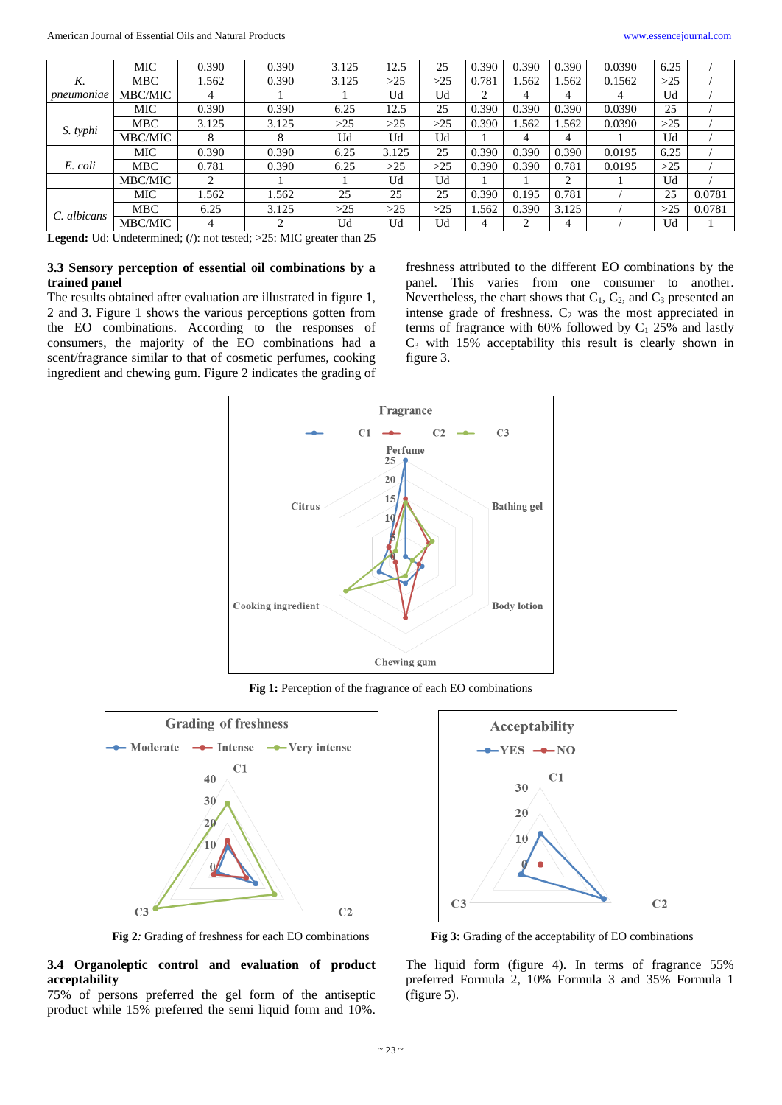|             | MIC        | 0.390 | 0.390 | 3.125 | 12.5  | 25  | 0.390 | 0.390 | 0.390         | 0.0390 | 6.25  |        |
|-------------|------------|-------|-------|-------|-------|-----|-------|-------|---------------|--------|-------|--------|
| K.          | <b>MBC</b> | 1.562 | 0.390 | 3.125 | >25   | >25 | 0.781 | 1.562 | 1.562         | 0.1562 | $>25$ |        |
| pneumoniae  | MBC/MIC    | 4     |       |       | Ud    | Ud  | ◠     | 4     | 4             | 4      | Ud    |        |
|             | MIC        | 0.390 | 0.390 | 6.25  | 12.5  | 25  | 0.390 | 0.390 | 0.390         | 0.0390 | 25    |        |
| S. typhi    | <b>MBC</b> | 3.125 | 3.125 | >25   | >25   | >25 | 0.390 | 1.562 | 1.562         | 0.0390 | >25   |        |
|             | MBC/MIC    | 8     |       | Ud    | Ud    | Ud  |       | 4     | 4             |        | Ud    |        |
|             | <b>MIC</b> | 0.390 | 0.390 | 6.25  | 3.125 | 25  | 0.390 | 0.390 | 0.390         | 0.0195 | 6.25  |        |
| E. coli     | <b>MBC</b> | 0.781 | 0.390 | 6.25  | $>25$ | >25 | 0.390 | 0.390 | 0.781         | 0.0195 | >25   |        |
|             | MBC/MIC    | 2     |       |       | Ud    | Ud  |       |       | $\mathcal{D}$ |        | Ud    |        |
|             | MIC        | .562  | 1.562 | 25    | 25    | 25  | 0.390 | 0.195 | 0.781         |        | 25    | 0.0781 |
| C. albicans | <b>MBC</b> | 6.25  | 3.125 | >25   | >25   | >25 | 1.562 | 0.390 | 3.125         |        | >25   | 0.0781 |
|             | MBC/MIC    | 4     | ∍     | Ud    | Ud    | Ud  | 4     | ↑     | 4             |        | Ud    |        |

Legend: Ud: Undetermined; (/): not tested; >25: MIC greater than 25

## **3.3 Sensory perception of essential oil combinations by a trained panel**

The results obtained after evaluation are illustrated in figure 1, 2 and 3. Figure 1 shows the various perceptions gotten from the EO combinations. According to the responses of consumers, the majority of the EO combinations had a scent/fragrance similar to that of cosmetic perfumes, cooking ingredient and chewing gum. Figure 2 indicates the grading of

freshness attributed to the different EO combinations by the panel. This varies from one consumer to another. Nevertheless, the chart shows that  $C_1$ ,  $C_2$ , and  $C_3$  presented an intense grade of freshness.  $C_2$  was the most appreciated in terms of fragrance with  $60\%$  followed by C<sub>1</sub> 25% and lastly  $C_3$  with 15% acceptability this result is clearly shown in figure 3.



Fig 1: Perception of the fragrance of each EO combinations



## **3.4 Organoleptic control and evaluation of product acceptability**

75% of persons preferred the gel form of the antiseptic product while 15% preferred the semi liquid form and 10%.



**Fig 2***:* Grading of freshness for each EO combinations **Fig 3:** Grading of the acceptability of EO combinations

The liquid form (figure 4). In terms of fragrance 55% preferred Formula 2, 10% Formula 3 and 35% Formula 1 (figure 5).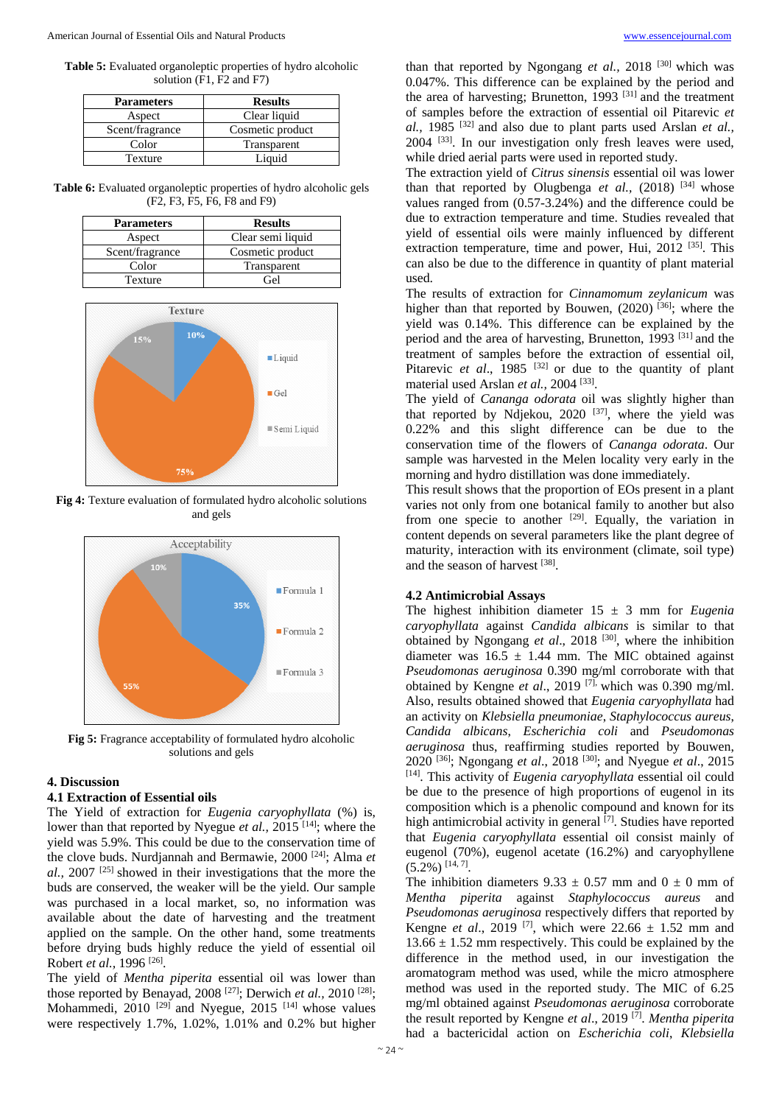**Table 5:** Evaluated organoleptic properties of hydro alcoholic solution (F1, F2 and F7)

| <b>Parameters</b> | <b>Results</b>   |
|-------------------|------------------|
| Aspect            | Clear liquid     |
| Scent/fragrance   | Cosmetic product |
| Color             | Transparent      |
| Texture           | Liquid           |

**Table 6:** Evaluated organoleptic properties of hydro alcoholic gels (F2, F3, F5, F6, F8 and F9)

| <b>Parameters</b> | <b>Results</b>    |
|-------------------|-------------------|
| Aspect            | Clear semi liquid |
| Scent/fragrance   | Cosmetic product  |
| Color             | Transparent       |
| Texture           | Gel               |



**Fig 4:** Texture evaluation of formulated hydro alcoholic solutions and gels



**Fig 5:** Fragrance acceptability of formulated hydro alcoholic solutions and gels

## **4. Discussion**

#### **4.1 Extraction of Essential oils**

The Yield of extraction for *Eugenia caryophyllata* (%) is, lower than that reported by Nyegue *et al.*, 2015<sup>[14]</sup>; where the yield was 5.9%. This could be due to the conservation time of the clove buds. Nurdjannah and Bermawie, 2000 [24]; Alma *et al.,* 2007 [25] showed in their investigations that the more the buds are conserved, the weaker will be the yield. Our sample was purchased in a local market, so, no information was available about the date of harvesting and the treatment applied on the sample. On the other hand, some treatments before drying buds highly reduce the yield of essential oil Robert *et al.*, 1996<sup>[26]</sup>.

The yield of *Mentha piperita* essential oil was lower than those reported by Benayad, 2008<sup>[27]</sup>; Derwich et al., 2010<sup>[28]</sup>; Mohammedi,  $2010^{[29]}$  and Nyegue,  $2015^{[14]}$  whose values were respectively 1.7%, 1.02%, 1.01% and 0.2% but higher

than that reported by Ngongang et al., 2018<sup>[30]</sup> which was 0.047%. This difference can be explained by the period and the area of harvesting; Brunetton, 1993<sup>[31]</sup> and the treatment of samples before the extraction of essential oil Pitarevic *et al.,* 1985 [32] and also due to plant parts used Arslan *et al.,* 2004 [33]. In our investigation only fresh leaves were used, while dried aerial parts were used in reported study.

The extraction yield of *Citrus sinensis* essential oil was lower than that reported by Olugbenga *et al.*, (2018) <sup>[34]</sup> whose values ranged from (0.57-3.24%) and the difference could be due to extraction temperature and time. Studies revealed that yield of essential oils were mainly influenced by different extraction temperature, time and power, Hui, 2012<sup>[35]</sup>. This can also be due to the difference in quantity of plant material used.

The results of extraction for *Cinnamomum zeylanicum* was higher than that reported by Bouwen,  $(2020)$ <sup>[36]</sup>; where the yield was 0.14%. This difference can be explained by the period and the area of harvesting, Brunetton, 1993 [31] and the treatment of samples before the extraction of essential oil, Pitarevic *et al.*, 1985<sup>[32]</sup> or due to the quantity of plant material used Arslan et al., 2004<sup>[33]</sup>.

The yield of *Cananga odorata* oil was slightly higher than that reported by Ndjekou, 2020<sup>[37]</sup>, where the yield was 0.22% and this slight difference can be due to the conservation time of the flowers of *Cananga odorata*. Our sample was harvested in the Melen locality very early in the morning and hydro distillation was done immediately.

This result shows that the proportion of EOs present in a plant varies not only from one botanical family to another but also from one specie to another  $[29]$ . Equally, the variation in content depends on several parameters like the plant degree of maturity, interaction with its environment (climate, soil type) and the season of harvest [38].

### **4.2 Antimicrobial Assays**

The highest inhibition diameter  $15 \pm 3$  mm for *Eugenia caryophyllata* against *Candida albicans* is similar to that obtained by Ngongang *et al*., 2018 [30], where the inhibition diameter was  $16.5 \pm 1.44$  mm. The MIC obtained against *Pseudomonas aeruginosa* 0.390 mg/ml corroborate with that obtained by Kengne *et al.*, 2019<sup>[7],</sup> which was 0.390 mg/ml. Also, results obtained showed that *Eugenia caryophyllata* had an activity on *Klebsiella pneumoniae*, *Staphylococcus aureus*, *Candida albicans*, *Escherichia coli* and *Pseudomonas aeruginosa* thus, reaffirming studies reported by Bouwen, 2020 [36]; Ngongang *et al*., 2018 [30]; and Nyegue *et al*., 2015 [14]. This activity of *Eugenia caryophyllata* essential oil could be due to the presence of high proportions of eugenol in its composition which is a phenolic compound and known for its high antimicrobial activity in general [7]. Studies have reported that *Eugenia caryophyllata* essential oil consist mainly of eugenol (70%), eugenol acetate (16.2%) and caryophyllene  $(5.2\%)$ <sup>[14, 7]</sup>.

The inhibition diameters  $9.33 \pm 0.57$  mm and  $0 \pm 0$  mm of *Mentha piperita* against *Staphylococcus aureus* and *Pseudomonas aeruginosa* respectively differs that reported by Kengne *et al.*, 2019<sup>[7]</sup>, which were 22.66  $\pm$  1.52 mm and  $13.66 \pm 1.52$  mm respectively. This could be explained by the difference in the method used, in our investigation the aromatogram method was used, while the micro atmosphere method was used in the reported study. The MIC of 6.25 mg/ml obtained against *Pseudomonas aeruginosa* corroborate the result reported by Kengne *et al*., 2019 [7] . *Mentha piperita* had a bactericidal action on *Escherichia coli*, *Klebsiella*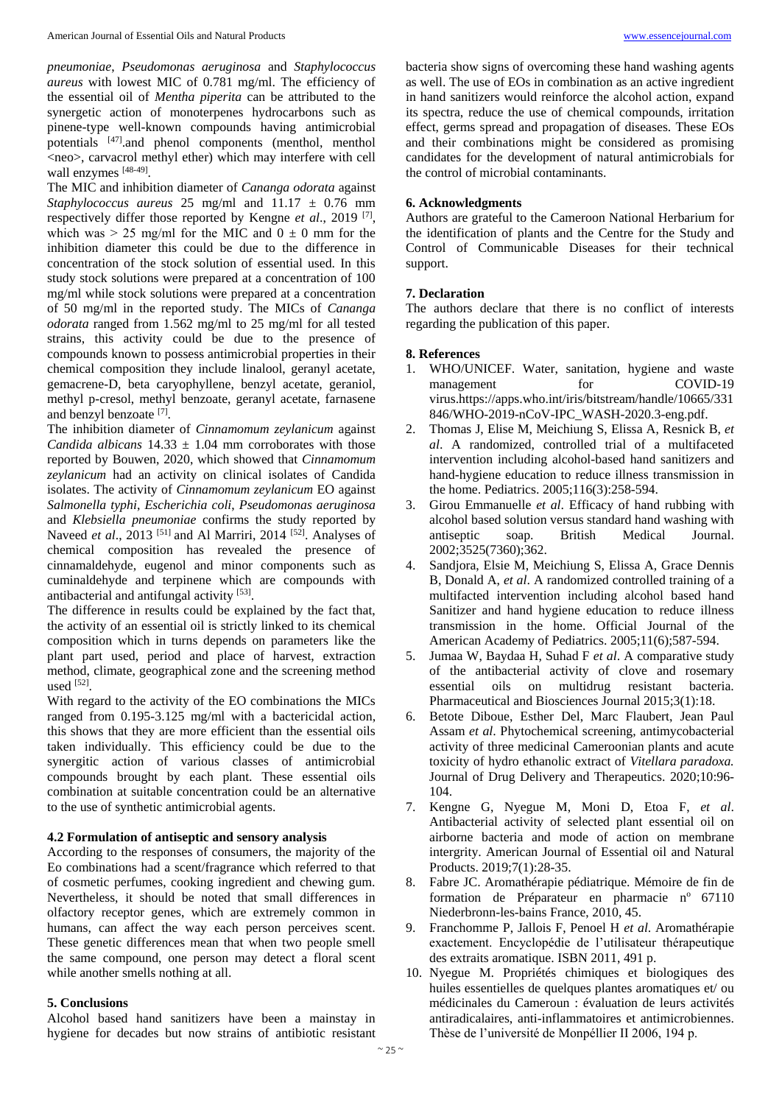*pneumoniae*, *Pseudomonas aeruginosa* and *Staphylococcus aureus* with lowest MIC of 0.781 mg/ml. The efficiency of the essential oil of *Mentha piperita* can be attributed to the synergetic action of monoterpenes hydrocarbons such as pinene-type well-known compounds having antimicrobial potentials [47].and phenol components (menthol, menthol <neo>, carvacrol methyl ether) which may interfere with cell wall enzymes [48-49].

The MIC and inhibition diameter of *Cananga odorata* against *Staphylococcus aureus* 25 mg/ml and 11.17 ± 0.76 mm respectively differ those reported by Kengne *et al*., 2019 [7] , which was  $> 25$  mg/ml for the MIC and  $0 \pm 0$  mm for the inhibition diameter this could be due to the difference in concentration of the stock solution of essential used. In this study stock solutions were prepared at a concentration of 100 mg/ml while stock solutions were prepared at a concentration of 50 mg/ml in the reported study. The MICs of *Cananga odorata* ranged from 1.562 mg/ml to 25 mg/ml for all tested strains, this activity could be due to the presence of compounds known to possess antimicrobial properties in their chemical composition they include linalool, geranyl acetate, gemacrene-D, beta caryophyllene, benzyl acetate, geraniol, methyl p-cresol, methyl benzoate, geranyl acetate, farnasene and benzyl benzoate<sup>[7]</sup>.

The inhibition diameter of *Cinnamomum zeylanicum* against *Candida albicans*  $14.33 \pm 1.04$  mm corroborates with those reported by Bouwen, 2020, which showed that *Cinnamomum zeylanicum* had an activity on clinical isolates of Candida isolates. The activity of *Cinnamomum zeylanicum* EO against *Salmonella typhi*, *Escherichia coli*, *Pseudomonas aeruginosa* and *Klebsiella pneumoniae* confirms the study reported by Naveed *et al.*, 2013 <sup>[51]</sup> and Al Marriri, 2014 <sup>[52]</sup>. Analyses of chemical composition has revealed the presence of cinnamaldehyde, eugenol and minor components such as cuminaldehyde and terpinene which are compounds with antibacterial and antifungal activity [53].

The difference in results could be explained by the fact that, the activity of an essential oil is strictly linked to its chemical composition which in turns depends on parameters like the plant part used, period and place of harvest, extraction method, climate, geographical zone and the screening method used [52] .

With regard to the activity of the EO combinations the MICs ranged from 0.195-3.125 mg/ml with a bactericidal action, this shows that they are more efficient than the essential oils taken individually. This efficiency could be due to the synergitic action of various classes of antimicrobial compounds brought by each plant. These essential oils combination at suitable concentration could be an alternative to the use of synthetic antimicrobial agents.

#### **4.2 Formulation of antiseptic and sensory analysis**

According to the responses of consumers, the majority of the Eo combinations had a scent/fragrance which referred to that of cosmetic perfumes, cooking ingredient and chewing gum. Nevertheless, it should be noted that small differences in olfactory receptor genes, which are extremely common in humans, can affect the way each person perceives scent. These genetic differences mean that when two people smell the same compound, one person may detect a floral scent while another smells nothing at all.

## **5. Conclusions**

Alcohol based hand sanitizers have been a mainstay in hygiene for decades but now strains of antibiotic resistant

bacteria show signs of overcoming these hand washing agents as well. The use of EOs in combination as an active ingredient in hand sanitizers would reinforce the alcohol action, expand its spectra, reduce the use of chemical compounds, irritation effect, germs spread and propagation of diseases. These EOs and their combinations might be considered as promising candidates for the development of natural antimicrobials for the control of microbial contaminants.

#### **6. Acknowledgments**

Authors are grateful to the Cameroon National Herbarium for the identification of plants and the Centre for the Study and Control of Communicable Diseases for their technical support.

#### **7. Declaration**

The authors declare that there is no conflict of interests regarding the publication of this paper.

### **8. References**

- 1. WHO/UNICEF. Water, sanitation, hygiene and waste management for COVID-19 virus.https://apps.who.int/iris/bitstream/handle/10665/331 846/WHO-2019-nCoV-IPC\_WASH-2020.3-eng.pdf.
- 2. Thomas J, Elise M, Meichiung S, Elissa A, Resnick B, *et al*. A randomized, controlled trial of a multifaceted intervention including alcohol-based hand sanitizers and hand-hygiene education to reduce illness transmission in the home. Pediatrics. 2005;116(3):258-594.
- 3. Girou Emmanuelle *et al*. Efficacy of hand rubbing with alcohol based solution versus standard hand washing with antiseptic soap. British Medical Journal. 2002;3525(7360);362.
- 4. Sandjora, Elsie M, Meichiung S, Elissa A, Grace Dennis B, Donald A, *et al*. A randomized controlled training of a multifacted intervention including alcohol based hand Sanitizer and hand hygiene education to reduce illness transmission in the home. Official Journal of the American Academy of Pediatrics. 2005;11(6);587-594.
- 5. Jumaa W, Baydaa H, Suhad F *et al*. A comparative study of the antibacterial activity of clove and rosemary essential oils on multidrug resistant bacteria. Pharmaceutical and Biosciences Journal 2015;3(1):18.
- 6. Betote Diboue, Esther Del, Marc Flaubert, Jean Paul Assam *et al*. Phytochemical screening, antimycobacterial activity of three medicinal Cameroonian plants and acute toxicity of hydro ethanolic extract of *Vitellara paradoxa.*  Journal of Drug Delivery and Therapeutics. 2020;10:96- 104.
- 7. Kengne G, Nyegue M, Moni D, Etoa F, *et al*. Antibacterial activity of selected plant essential oil on airborne bacteria and mode of action on membrane intergrity. American Journal of Essential oil and Natural Products. 2019;7(1):28-35.
- 8. Fabre JC. Aromathérapie pédiatrique. Mémoire de fin de formation de Préparateur en pharmacie  $n^{\circ}$  67110 Niederbronn-les-bains France, 2010, 45.
- 9. Franchomme P, Jallois F, Penoel H *et al*. Aromathérapie exactement. Encyclopédie de l'utilisateur thérapeutique des extraits aromatique. ISBN 2011, 491 p.
- 10. Nyegue M. Propriétés chimiques et biologiques des huiles essentielles de quelques plantes aromatiques et/ ou médicinales du Cameroun : évaluation de leurs activités antiradicalaires, anti-inflammatoires et antimicrobiennes. Thèse de l'université de Monpéllier II 2006, 194 p.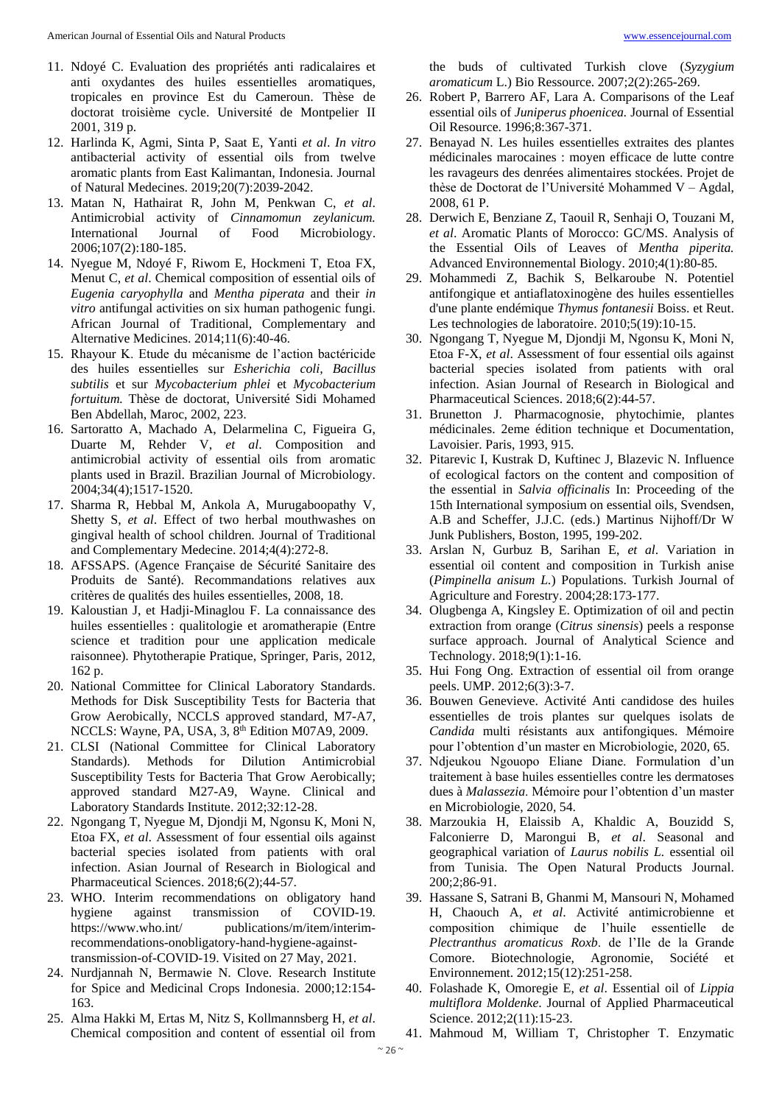- 11. Ndoyé C. Evaluation des propriétés anti radicalaires et anti oxydantes des huiles essentielles aromatiques, tropicales en province Est du Cameroun. Thèse de doctorat troisième cycle. Université de Montpelier II 2001, 319 p.
- 12. Harlinda K, Agmi, Sinta P, Saat E, Yanti *et al*. *In vitro* antibacterial activity of essential oils from twelve aromatic plants from East Kalimantan, Indonesia. Journal of Natural Medecines. 2019;20(7):2039-2042.
- 13. Matan N, Hathairat R, John M, Penkwan C, *et al*. Antimicrobial activity of *Cinnamomun zeylanicum.* International Journal of Food Microbiology. 2006;107(2):180-185.
- 14. Nyegue M, Ndoyé F, Riwom E, Hockmeni T, Etoa FX, Menut C, *et al*. Chemical composition of essential oils of *Eugenia caryophylla* and *Mentha piperata* and their *in vitro* antifungal activities on six human pathogenic fungi. African Journal of Traditional, Complementary and Alternative Medicines. 2014;11(6):40-46.
- 15. Rhayour K. Etude du mécanisme de l'action bactéricide des huiles essentielles sur *Esherichia coli, Bacillus subtilis* et sur *Mycobacterium phlei* et *Mycobacterium fortuitum.* Thèse de doctorat, Université Sidi Mohamed Ben Abdellah, Maroc, 2002, 223.
- 16. Sartoratto A, Machado A, Delarmelina C, Figueira G, Duarte M, Rehder V, *et al*. Composition and antimicrobial activity of essential oils from aromatic plants used in Brazil. Brazilian Journal of Microbiology. 2004;34(4);1517-1520.
- 17. Sharma R, Hebbal M, Ankola A, Murugaboopathy V, Shetty S, *et al*. Effect of two herbal mouthwashes on gingival health of school children. Journal of Traditional and Complementary Medecine. 2014;4(4):272-8.
- 18. AFSSAPS. (Agence Française de Sécurité Sanitaire des Produits de Santé). Recommandations relatives aux critères de qualités des huiles essentielles, 2008, 18.
- 19. Kaloustian J, et Hadji-Minaglou F. La connaissance des huiles essentielles : qualitologie et aromatherapie (Entre science et tradition pour une application medicale raisonnee). Phytotherapie Pratique, Springer, Paris, 2012, 162 p.
- 20. National Committee for Clinical Laboratory Standards. Methods for Disk Susceptibility Tests for Bacteria that Grow Aerobically, NCCLS approved standard, M7-A7, NCCLS: Wayne, PA, USA, 3, 8<sup>th</sup> Edition M07A9, 2009.
- 21. CLSI (National Committee for Clinical Laboratory Standards). Methods for Dilution Antimicrobial Susceptibility Tests for Bacteria That Grow Aerobically; approved standard M27-A9, Wayne. Clinical and Laboratory Standards Institute. 2012;32:12-28.
- 22. Ngongang T, Nyegue M, Djondji M, Ngonsu K, Moni N, Etoa FX, *et al*. Assessment of four essential oils against bacterial species isolated from patients with oral infection. Asian Journal of Research in Biological and Pharmaceutical Sciences. 2018;6(2);44-57.
- 23. WHO. Interim recommendations on obligatory hand hygiene against transmission of COVID-19. https://www.who.int/ publications/m/item/interimrecommendations-onobligatory-hand-hygiene-againsttransmission-of-COVID-19. Visited on 27 May, 2021.
- 24. Nurdjannah N, Bermawie N. Clove. Research Institute for Spice and Medicinal Crops Indonesia. 2000;12:154- 163.
- 25. Alma Hakki M, Ertas M, Nitz S, Kollmannsberg H, *et al*. Chemical composition and content of essential oil from

the buds of cultivated Turkish clove (*Syzygium aromaticum* L.) Bio Ressource. 2007;2(2):265-269.

- 26. Robert P, Barrero AF, Lara A. Comparisons of the Leaf essential oils of *Juniperus phoenicea.* Journal of Essential Oil Resource. 1996;8:367-371.
- 27. Benayad N. Les huiles essentielles extraites des plantes médicinales marocaines : moyen efficace de lutte contre les ravageurs des denrées alimentaires stockées. Projet de thèse de Doctorat de l'Université Mohammed V – Agdal, 2008, 61 P.
- 28. Derwich E, Benziane Z, Taouil R, Senhaji O, Touzani M, *et al*. Aromatic Plants of Morocco: GC/MS. Analysis of the Essential Oils of Leaves of *Mentha piperita.* Advanced Environnemental Biology. 2010;4(1):80-85.
- 29. Mohammedi Z, Bachik S, Belkaroube N. Potentiel antifongique et antiaflatoxinogène des huiles essentielles d'une plante endémique *Thymus fontanesii* Boiss. et Reut. Les technologies de laboratoire. 2010;5(19):10-15.
- 30. Ngongang T, Nyegue M, Djondji M, Ngonsu K, Moni N, Etoa F-X, *et al*. Assessment of four essential oils against bacterial species isolated from patients with oral infection. Asian Journal of Research in Biological and Pharmaceutical Sciences. 2018;6(2):44-57.
- 31. Brunetton J. Pharmacognosie, phytochimie, plantes médicinales. 2eme édition technique et Documentation, Lavoisier. Paris, 1993, 915.
- 32. Pitarevic I, Kustrak D, Kuftinec J, Blazevic N. Influence of ecological factors on the content and composition of the essential in *Salvia officinalis* In: Proceeding of the 15th International symposium on essential oils, Svendsen, A.B and Scheffer, J.J.C. (eds.) Martinus Nijhoff/Dr W Junk Publishers, Boston, 1995, 199-202.
- 33. Arslan N, Gurbuz B, Sarihan E, *et al*. Variation in essential oil content and composition in Turkish anise (*Pimpinella anisum L.*) Populations. Turkish Journal of Agriculture and Forestry. 2004;28:173-177.
- 34. Olugbenga A, Kingsley E. Optimization of oil and pectin extraction from orange (*Citrus sinensis*) peels a response surface approach. Journal of Analytical Science and Technology. 2018;9(1):1-16.
- 35. Hui Fong Ong. Extraction of essential oil from orange peels. UMP. 2012;6(3):3-7.
- 36. Bouwen Genevieve. Activité Anti candidose des huiles essentielles de trois plantes sur quelques isolats de *Candida* multi résistants aux antifongiques. Mémoire pour l'obtention d'un master en Microbiologie, 2020, 65.
- 37. Ndjeukou Ngouopo Eliane Diane. Formulation d'un traitement à base huiles essentielles contre les dermatoses dues à *Malassezia*. Mémoire pour l'obtention d'un master en Microbiologie, 2020, 54.
- 38. Marzoukia H, Elaissib A, Khaldic A, Bouzidd S, Falconierre D, Marongui B, *et al*. Seasonal and geographical variation of *Laurus nobilis L.* essential oil from Tunisia. The Open Natural Products Journal. 200;2;86-91.
- 39. Hassane S, Satrani B, Ghanmi M, Mansouri N, Mohamed H, Chaouch A, *et al*. Activité antimicrobienne et composition chimique de l'huile essentielle de *Plectranthus aromaticus Roxb*. de l'Ile de la Grande Comore. Biotechnologie, Agronomie, Société et Environnement. 2012;15(12):251-258.
- 40. Folashade K, Omoregie E, *et al*. Essential oil of *Lippia multiflora Moldenke*. Journal of Applied Pharmaceutical Science. 2012;2(11):15-23.
- 41. Mahmoud M, William T, Christopher T. Enzymatic